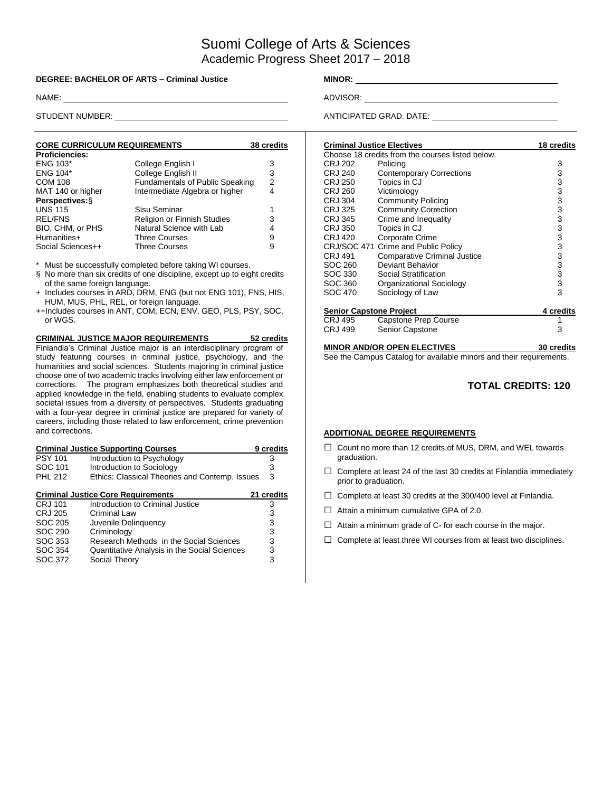# Suomi College of Arts & Sciences Academic Progress Sheet 2017 – 2018

#### **DEGREE: BACHELOR OF ARTS – Criminal Justice MINOR: MINOR:**

| <b>CORE CURRICULUM REQUIREMENTS</b> |                                        | 38 credits |
|-------------------------------------|----------------------------------------|------------|
| <b>Proficiencies:</b>               |                                        |            |
| <b>ENG 103*</b>                     | College English I                      | 3          |
| <b>ENG 104*</b>                     | College English II                     | 3          |
| <b>COM 108</b>                      | <b>Fundamentals of Public Speaking</b> | 2          |
| MAT 140 or higher                   | Intermediate Algebra or higher         | 4          |
| Perspectives: §                     |                                        |            |
| <b>UNS 115</b>                      | Sisu Seminar                           |            |
| <b>REL/FNS</b>                      | <b>Religion or Finnish Studies</b>     | 3          |
| BIO, CHM, or PHS                    | Natural Science with Lab               | 4          |
| Humanities+                         | <b>Three Courses</b>                   | 9          |
| Social Sciences++                   | <b>Three Courses</b>                   | 9          |

Must be successfully completed before taking WI courses.

- § No more than six credits of one discipline, except up to eight credits of the same foreign language.
- + Includes courses in ARD, DRM, ENG (but not ENG 101), FNS, HIS, HUM, MUS, PHL, REL, or foreign language.
- ++Includes courses in ANT, COM, ECN, ENV, GEO, PLS, PSY, SOC, or WGS.

#### **CRIMINAL JUSTICE MAJOR REQUIREMENTS 52 credits** Finlandia's Criminal Justice major is an interdisciplinary program of study featuring courses in criminal justice, psychology, and the humanities and social sciences. Students majoring in criminal justice choose one of two academic tracks involving either law enforcement or corrections. The program emphasizes both theoretical studies and applied knowledge in the field, enabling students to evaluate complex societal issues from a diversity of perspectives. Students graduating

with a four-year degree in criminal justice are prepared for variety of careers, including those related to law enforcement, crime prevention and corrections.

|                | <b>Criminal Justice Supporting Courses</b>     | 9 credits  |
|----------------|------------------------------------------------|------------|
| <b>PSY 101</b> | Introduction to Psychology                     | 3          |
| SOC 101        | Introduction to Sociology                      | З          |
| PHI 212        | Ethics: Classical Theories and Contemp. Issues | 3          |
|                | <b>Criminal Justice Core Requirements</b>      | 21 credits |
| CRJ 101        | Introduction to Criminal Justice               | 3          |
| CRJ 205        | Criminal Law                                   | 3          |
| SOC 205        | Juvenile Delinquency                           | 3          |
| SOC 290        | Criminology                                    | 3          |
| SOC 353        | Research Methods in the Social Sciences        | 3          |
| SOC 354        | Quantitative Analysis in the Social Sciences   | 3          |
| SOC 372        | Social Theory                                  | 3          |

NAME: ADVISOR:

STUDENT NUMBER: **ANTICIPATED GRAD. DATE:** ANTICIPATED GRAD. DATE:

| <b>Criminal Justice Electives</b> |                                                  | 18 credits |
|-----------------------------------|--------------------------------------------------|------------|
|                                   | Choose 18 credits from the courses listed below. |            |
| CRJ 202                           | Policing                                         | 3          |
| CRJ 240                           | <b>Contemporary Corrections</b>                  | 3          |
| <b>CRJ 250</b>                    | Topics in CJ                                     | 3          |
| <b>CRJ 260</b>                    | Victimology                                      | 3          |
| CRJ 304                           | <b>Community Policing</b>                        | 3          |
| CRJ 325                           | <b>Community Correction</b>                      | 3          |
| CRJ 345                           | Crime and Inequality                             | 3          |
| CRJ 350                           | Topics in CJ                                     | 3          |
| CRJ 420                           | Corporate Crime                                  | 3          |
|                                   | CRJ/SOC 471 Crime and Public Policy              | 3          |
| CRJ 491                           | <b>Comparative Criminal Justice</b>              | 3          |
| SOC 260                           | Deviant Behavior                                 | 3          |
| SOC 330                           | Social Stratification                            | 3          |
| SOC 360                           | Organizational Sociology                         | 3          |
| SOC 470                           | Sociology of Law                                 | 3          |
| <b>Senior Capstone Project</b>    |                                                  | 4 credits  |
| CRJ 495                           | Capstone Prep Course                             | 1          |
| CRJ 499                           | Senior Capstone                                  | 3          |
|                                   |                                                  |            |

**MINOR AND/OR OPEN ELECTIVES 30 credits** See the Campus Catalog for available minors and their requirements.

### **TOTAL CREDITS: 120**

### **ADDITIONAL DEGREE REQUIREMENTS**

- □ Count no more than 12 credits of MUS, DRM, and WEL towards graduation.
- $\Box$  Complete at least 24 of the last 30 credits at Finlandia immediately prior to graduation.
- □ Complete at least 30 credits at the 300/400 level at Finlandia.
- $\Box$  Attain a minimum cumulative GPA of 2.0.
- $\Box$  Attain a minimum grade of C- for each course in the major.
- $\Box$  Complete at least three WI courses from at least two disciplines.